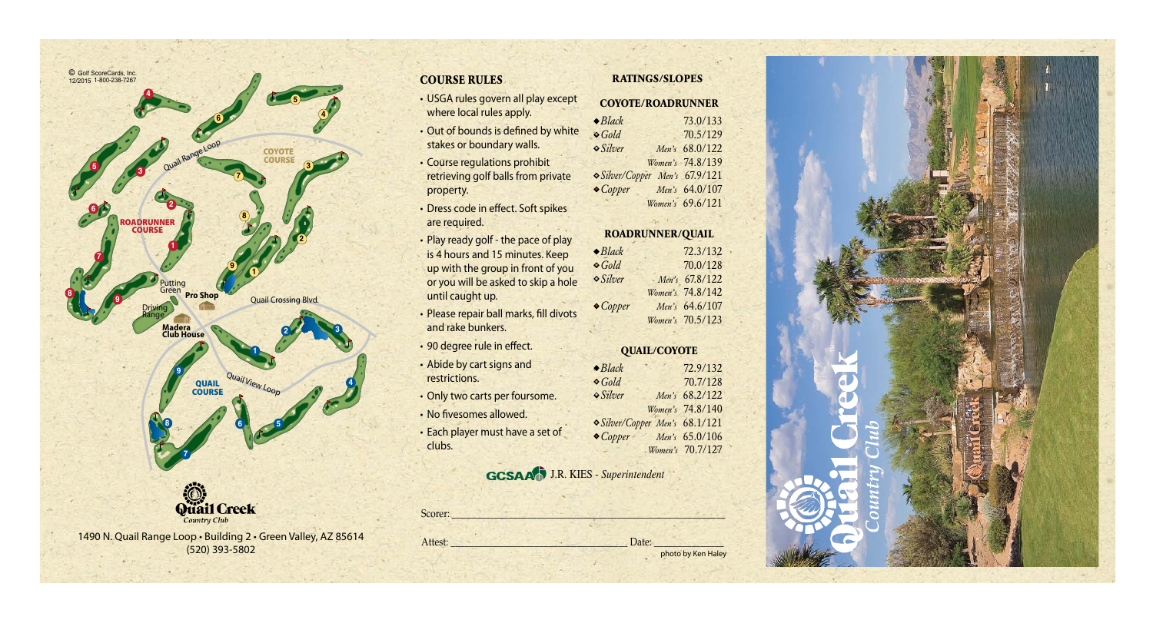

1490 N. Quail Range Loop • Building 2 • Green Valley, AZ 85614 (520) 393-5802

- USGA rules govern all play except where local rules apply.
- Out of bounds is defined by white stakes or boundary walls.
- Course regulations prohibit retrieving golf balls from private property.
- Dress code in effect. Soft spikes are required.
- Play ready golf the pace of play is 4 hours and 15 minutes. Keep up with the group in front of you or you will be asked to skip a hole until caught up.
- Please repair ball marks, fill divots and rake bunkers.
- 90 degree rule in effect.
- Abide by cart signs and restrictions.
- Only two carts per foursome.
- No fivesomes allowed.
- Each player must have a set of clubs.

### **GCSAA<sup>D</sup>** J.R. KIES - *Superintendent*

Scorer: \_\_\_\_\_\_\_\_\_\_\_\_\_\_\_\_\_\_\_\_\_\_\_\_\_\_\_\_\_\_\_\_\_\_\_\_\_\_\_\_\_\_\_\_\_\_\_\_\_\_\_\_\_\_\_\_\_\_ Attest: \_\_\_\_\_\_\_\_\_\_\_\_\_\_\_\_\_\_\_\_\_\_\_\_\_\_\_\_\_\_\_\_\_\_\_\_\_\_ Date: \_\_\_\_\_\_\_\_\_\_\_\_\_\_\_

### **COURSE RULES RATINGS/SLOPES**

| <b>COYOTE/ROADRUNNER</b>       |                  |  |
|--------------------------------|------------------|--|
| $\bullet$ Black                | 73.0/133         |  |
| $\bullet$ Gold                 | 70.5/129         |  |
| $\circ$ Silver                 | Men's 68.0/122   |  |
|                                | Women's 74.8/139 |  |
| O Silver/Copper Men's 67.9/121 |                  |  |
| $\bullet$ Copper               | Men's 64.0/107   |  |
|                                | Women's 69.6/121 |  |

#### **ROADRUNNER/QUAIL**

| $\bullet$ Black  | 72.3/132         |
|------------------|------------------|
| $\bullet$ Gold   | 70.0/128         |
| $\circ$ Silver   | Men's 67.8/122   |
|                  | Women's 74.8/142 |
| $\bullet$ Copper | Men's 64.6/107   |
|                  | Women's 70.5/123 |

### **QUAIL/COYOTE**

| $\bullet$ Black                | 72.9/132         |
|--------------------------------|------------------|
| $\bullet$ Gold                 | 70.7/128         |
| <b>o</b> Silver                | Men's 68.2/122   |
|                                | Women's 74.8/140 |
| O Silver/Copper Men's 68.1/121 |                  |
| $\bullet$ Copper               | Men's 65.0/106   |
|                                | Women's 70.7/127 |

photo by Ken Haley